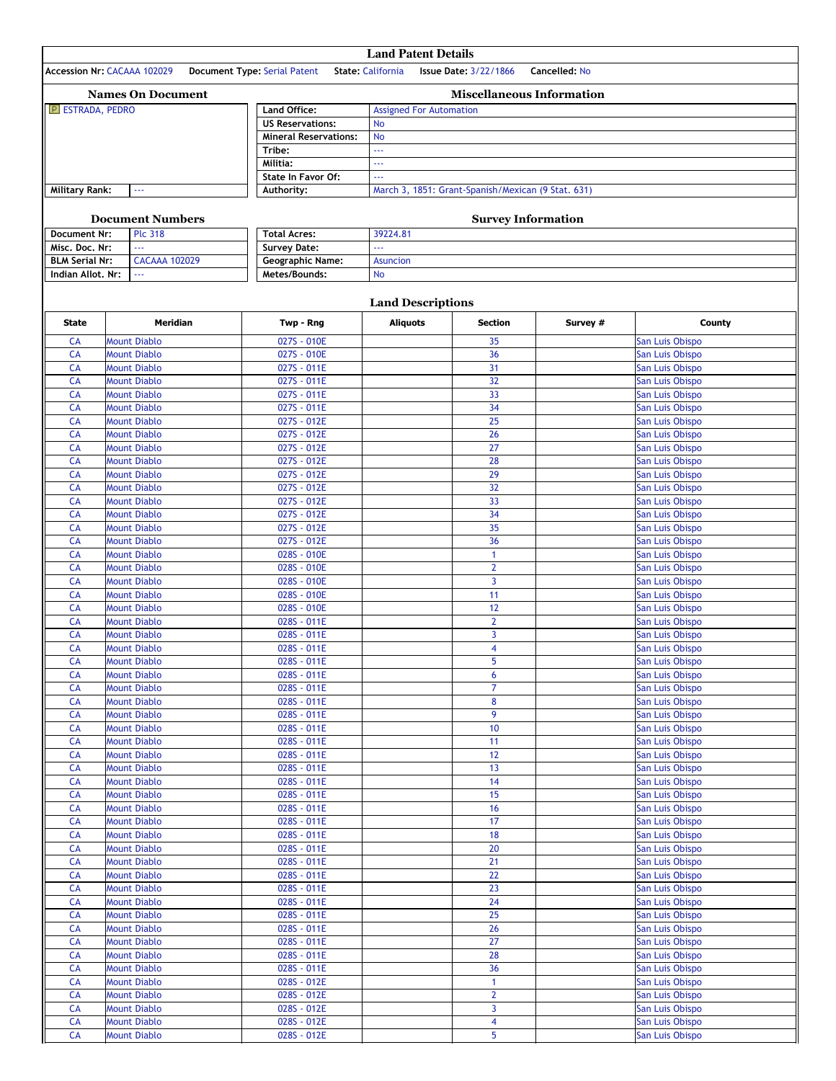|                                       |                                            |                                                         | <b>Land Patent Details</b>                                   |                                                    |               |                                    |  |
|---------------------------------------|--------------------------------------------|---------------------------------------------------------|--------------------------------------------------------------|----------------------------------------------------|---------------|------------------------------------|--|
|                                       | Accession Nr: CACAAA 102029                | <b>Document Type: Serial Patent</b>                     | <b>State: California</b>                                     | <b>Issue Date: 3/22/1866</b>                       | Cancelled: No |                                    |  |
|                                       | <b>Names On Document</b>                   |                                                         |                                                              | <b>Miscellaneous Information</b>                   |               |                                    |  |
| E ESTRADA, PEDRO                      |                                            | Land Office:                                            | <b>Assigned For Automation</b>                               |                                                    |               |                                    |  |
|                                       |                                            | <b>US Reservations:</b><br><b>Mineral Reservations:</b> | <b>No</b><br><b>No</b>                                       |                                                    |               |                                    |  |
|                                       |                                            | Tribe:                                                  | LL.                                                          |                                                    |               |                                    |  |
| Militia:<br><b>State In Favor Of:</b> |                                            |                                                         | LL.                                                          |                                                    |               |                                    |  |
|                                       |                                            |                                                         | $\omega$ is a                                                |                                                    |               |                                    |  |
| <b>Military Rank:</b>                 | 44                                         | Authority:                                              |                                                              | March 3, 1851: Grant-Spanish/Mexican (9 Stat. 631) |               |                                    |  |
|                                       | <b>Document Numbers</b>                    |                                                         |                                                              |                                                    |               |                                    |  |
| <b>Document Nr:</b>                   | <b>Plc 318</b>                             |                                                         | <b>Survey Information</b><br><b>Total Acres:</b><br>39224.81 |                                                    |               |                                    |  |
| Misc. Doc. Nr:                        |                                            | <b>Survey Date:</b>                                     |                                                              |                                                    |               |                                    |  |
| <b>BLM Serial Nr:</b>                 | <b>CACAAA 102029</b>                       | <b>Geographic Name:</b>                                 | <b>Asuncion</b>                                              |                                                    |               |                                    |  |
| Indian Allot. Nr:                     | 222                                        | Metes/Bounds:                                           | No                                                           |                                                    |               |                                    |  |
|                                       |                                            |                                                         | <b>Land Descriptions</b>                                     |                                                    |               |                                    |  |
| <b>State</b>                          | <b>Meridian</b>                            | Twp - Rng                                               | <b>Aliquots</b>                                              | <b>Section</b>                                     | Survey #      | County                             |  |
| CA                                    | <b>Mount Diablo</b>                        | 027S - 010E                                             |                                                              | 35                                                 |               | San Luis Obispo                    |  |
| CA                                    | <b>Mount Diablo</b>                        | 027S - 010E                                             |                                                              | 36                                                 |               | San Luis Obispo                    |  |
| CA                                    | <b>Mount Diablo</b>                        | 027S - 011E                                             |                                                              | 31                                                 |               | San Luis Obispo                    |  |
| CA                                    | <b>Mount Diablo</b>                        | 027S - 011E                                             |                                                              | 32                                                 |               | San Luis Obispo                    |  |
| CA                                    | <b>Mount Diablo</b>                        | 027S - 011E                                             |                                                              | 33                                                 |               | San Luis Obispo                    |  |
| CA                                    | <b>Mount Diablo</b>                        | 027S - 011E                                             |                                                              | 34                                                 |               | San Luis Obispo                    |  |
| CA<br>CA                              | <b>Mount Diablo</b><br><b>Mount Diablo</b> | 027S - 012E<br>027S - 012E                              |                                                              | 25<br>26                                           |               | San Luis Obispo<br>San Luis Obispo |  |
| CA                                    | <b>Mount Diablo</b>                        | 027S - 012E                                             |                                                              | 27                                                 |               | San Luis Obispo                    |  |
| CA                                    | <b>Mount Diablo</b>                        | 027S - 012E                                             |                                                              | 28                                                 |               | San Luis Obispo                    |  |
| CA                                    | <b>Mount Diablo</b>                        | 027S - 012E                                             |                                                              | 29                                                 |               | San Luis Obispo                    |  |
| CA                                    | <b>Mount Diablo</b>                        | 027S - 012E                                             |                                                              | 32                                                 |               | San Luis Obispo                    |  |
| CA<br>CA                              | <b>Mount Diablo</b><br><b>Mount Diablo</b> | 027S - 012E<br>027S - 012E                              |                                                              | 33<br>34                                           |               | San Luis Obispo<br>San Luis Obispo |  |
| CA                                    | <b>Mount Diablo</b>                        | 027S - 012E                                             |                                                              | 35                                                 |               | San Luis Obispo                    |  |
| CA                                    | <b>Mount Diablo</b>                        | 027S - 012E                                             |                                                              | 36                                                 |               | San Luis Obispo                    |  |
| CA                                    | <b>Mount Diablo</b>                        | 028S - 010E                                             |                                                              | 1                                                  |               | San Luis Obispo                    |  |
| CA                                    | <b>Mount Diablo</b>                        | 028S - 010E                                             |                                                              | $\overline{2}$                                     |               | San Luis Obispo                    |  |
| CA<br>CA                              | <b>Mount Diablo</b><br><b>Mount Diablo</b> | 028S - 010E<br>028S - 010E                              |                                                              | $\overline{3}$<br>11                               |               | San Luis Obispo<br>San Luis Obispo |  |
| CA                                    | <b>Mount Diablo</b>                        | 028S - 010E                                             |                                                              | 12                                                 |               | San Luis Obispo                    |  |
| CA                                    | <b>Mount Diablo</b>                        | 028S - 011E                                             |                                                              | $\overline{2}$                                     |               | San Luis Obispo                    |  |
| CA                                    | <b>Mount Diablo</b>                        | 028S - 011E                                             |                                                              | 3                                                  |               | San Luis Obispo                    |  |
| CA                                    | <b>Mount Diablo</b>                        | 028S - 011E                                             |                                                              | 4                                                  |               | San Luis Obispo                    |  |
| CA<br>CA                              | <b>Mount Diablo</b><br><b>Mount Diablo</b> | 028S - 011E<br>028S - 011E                              |                                                              | 5<br>6                                             |               | San Luis Obispo<br>San Luis Obispo |  |
| CA                                    | <b>Mount Diablo</b>                        | 028S - 011E                                             |                                                              | 7                                                  |               | San Luis Obispo                    |  |
| CA                                    | <b>Mount Diablo</b>                        | 028S - 011E                                             |                                                              | 8                                                  |               | San Luis Obispo                    |  |
| <b>CA</b>                             | <b>Mount Diablo</b>                        | 028S - 011E                                             |                                                              | 9                                                  |               | San Luis Obispo                    |  |
| CA                                    | <b>Mount Diablo</b>                        | 028S - 011E                                             |                                                              | 10                                                 |               | San Luis Obispo                    |  |
| <b>CA</b><br>CA                       | <b>Mount Diablo</b><br><b>Mount Diablo</b> | 028S - 011E<br>028S - 011E                              |                                                              | 11<br>12                                           |               | San Luis Obispo<br>San Luis Obispo |  |
| <b>CA</b>                             | <b>Mount Diablo</b>                        | 028S - 011E                                             |                                                              | 13                                                 |               | San Luis Obispo                    |  |
| CA                                    | <b>Mount Diablo</b>                        | 028S - 011E                                             |                                                              | 14                                                 |               | San Luis Obispo                    |  |
| CA                                    | <b>Mount Diablo</b>                        | 028S - 011E                                             |                                                              | 15                                                 |               | San Luis Obispo                    |  |
| CA                                    | <b>Mount Diablo</b>                        | 028S - 011E                                             |                                                              | 16                                                 |               | San Luis Obispo                    |  |
| <b>CA</b><br>CA                       | <b>Mount Diablo</b><br><b>Mount Diablo</b> | 028S - 011E<br>028S - 011E                              |                                                              | 17<br>18                                           |               | San Luis Obispo                    |  |
| CA                                    | <b>Mount Diablo</b>                        | 028S - 011E                                             |                                                              | 20                                                 |               | San Luis Obispo<br>San Luis Obispo |  |
| CA                                    | <b>Mount Diablo</b>                        | 028S - 011E                                             |                                                              | $\overline{21}$                                    |               | San Luis Obispo                    |  |
| CA                                    | <b>Mount Diablo</b>                        | 028S - 011E                                             |                                                              | 22                                                 |               | San Luis Obispo                    |  |
| CA                                    | <b>Mount Diablo</b>                        | 028S - 011E                                             |                                                              | 23                                                 |               | San Luis Obispo                    |  |
| CA                                    | <b>Mount Diablo</b>                        | 028S - 011E                                             |                                                              | 24                                                 |               | San Luis Obispo                    |  |
| CA<br>CA                              | <b>Mount Diablo</b><br><b>Mount Diablo</b> | 028S - 011E<br>028S - 011E                              |                                                              | 25<br>26                                           |               | San Luis Obispo<br>San Luis Obispo |  |
| CA                                    | <b>Mount Diablo</b>                        | 028S - 011E                                             |                                                              | 27                                                 |               | San Luis Obispo                    |  |
| CA                                    | <b>Mount Diablo</b>                        | 028S - 011E                                             |                                                              | 28                                                 |               | San Luis Obispo                    |  |
| <b>CA</b>                             | <b>Mount Diablo</b>                        | 028S - 011E                                             |                                                              | 36                                                 |               | San Luis Obispo                    |  |
| CA                                    | <b>Mount Diablo</b>                        | 028S - 012E                                             |                                                              | 1                                                  |               | San Luis Obispo                    |  |
| CA                                    | <b>Mount Diablo</b>                        | 028S - 012E                                             |                                                              | $\overline{2}$                                     |               | San Luis Obispo                    |  |
| CA<br>CA                              | <b>Mount Diablo</b><br><b>Mount Diablo</b> | 028S - 012E<br>028S - 012E                              |                                                              | 3<br>4                                             |               | San Luis Obispo<br>San Luis Obispo |  |
| CA                                    | <b>Mount Diablo</b>                        | 028S - 012E                                             |                                                              | 5                                                  |               | San Luis Obispo                    |  |